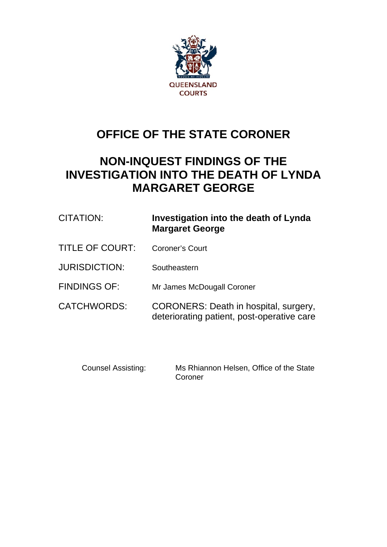

# **OFFICE OF THE STATE CORONER**

# **NON-INQUEST FINDINGS OF THE INVESTIGATION INTO THE DEATH OF LYNDA MARGARET GEORGE**

| <b>CITATION:</b>     | Investigation into the death of Lynda<br><b>Margaret George</b>                     |
|----------------------|-------------------------------------------------------------------------------------|
| TITLE OF COURT:      | Coroner's Court                                                                     |
| <b>JURISDICTION:</b> | Southeastern                                                                        |
| <b>FINDINGS OF:</b>  | Mr James McDougall Coroner                                                          |
| CATCHWORDS:          | CORONERS: Death in hospital, surgery,<br>deteriorating patient, post-operative care |

Counsel Assisting: Ms Rhiannon Helsen, Office of the State Coroner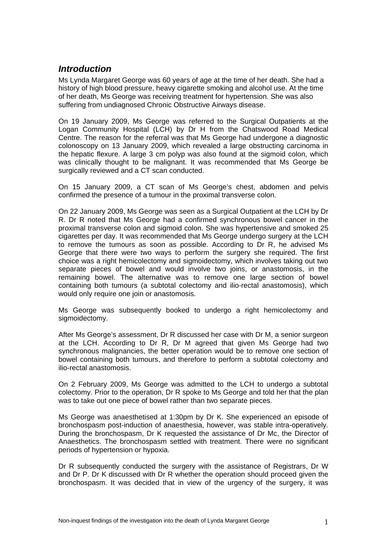# *Introduction*

Ms Lynda Margaret George was 60 years of age at the time of her death. She had a history of high blood pressure, heavy cigarette smoking and alcohol use. At the time of her death, Ms George was receiving treatment for hypertension. She was also suffering from undiagnosed Chronic Obstructive Airways disease.

On 19 January 2009, Ms George was referred to the Surgical Outpatients at the Logan Community Hospital (LCH) by Dr H from the Chatswood Road Medical Centre. The reason for the referral was that Ms George had undergone a diagnostic colonoscopy on 13 January 2009, which revealed a large obstructing carcinoma in the hepatic flexure. A large 3 cm polyp was also found at the sigmoid colon, which was clinically thought to be malignant. It was recommended that Ms George be surgically reviewed and a CT scan conducted.

On 15 January 2009, a CT scan of Ms George's chest, abdomen and pelvis confirmed the presence of a tumour in the proximal transverse colon.

On 22 January 2009, Ms George was seen as a Surgical Outpatient at the LCH by Dr R. Dr R noted that Ms George had a confirmed synchronous bowel cancer in the proximal transverse colon and sigmoid colon. She was hypertensive and smoked 25 cigarettes per day. It was recommended that Ms George undergo surgery at the LCH to remove the tumours as soon as possible. According to Dr R, he advised Ms George that there were two ways to perform the surgery she required. The first choice was a right hemicolectomy and sigmoidectomy, which involves taking out two separate pieces of bowel and would involve two joins, or anastomosis, in the remaining bowel. The alternative was to remove one large section of bowel containing both tumours (a subtotal colectomy and ilio-rectal anastomosis), which would only require one join or anastomosis.

Ms George was subsequently booked to undergo a right hemicolectomy and sigmoidectomy.

After Ms George's assessment, Dr R discussed her case with Dr M, a senior surgeon at the LCH. According to Dr R, Dr M agreed that given Ms George had two synchronous malignancies, the better operation would be to remove one section of bowel containing both tumours, and therefore to perform a subtotal colectomy and ilio-rectal anastomosis.

On 2 February 2009, Ms George was admitted to the LCH to undergo a subtotal colectomy. Prior to the operation, Dr R spoke to Ms George and told her that the plan was to take out one piece of bowel rather than two separate pieces.

Ms George was anaesthetised at 1:30pm by Dr K. She experienced an episode of bronchospasm post-induction of anaesthesia, however, was stable intra-operatively. During the bronchospasm, Dr K requested the assistance of Dr Mc, the Director of Anaesthetics. The bronchospasm settled with treatment. There were no significant periods of hypertension or hypoxia.

Dr R subsequently conducted the surgery with the assistance of Registrars, Dr W and Dr P. Dr K discussed with Dr R whether the operation should proceed given the bronchospasm. It was decided that in view of the urgency of the surgery, it was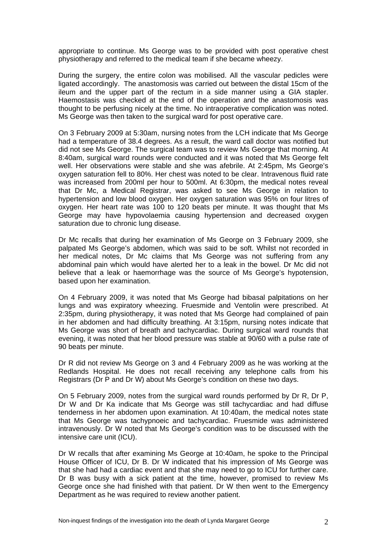appropriate to continue. Ms George was to be provided with post operative chest physiotherapy and referred to the medical team if she became wheezy.

During the surgery, the entire colon was mobilised. All the vascular pedicles were ligated accordingly. The anastomosis was carried out between the distal 15cm of the ileum and the upper part of the rectum in a side manner using a GIA stapler. Haemostasis was checked at the end of the operation and the anastomosis was thought to be perfusing nicely at the time. No intraoperative complication was noted. Ms George was then taken to the surgical ward for post operative care.

On 3 February 2009 at 5:30am, nursing notes from the LCH indicate that Ms George had a temperature of 38.4 degrees. As a result, the ward call doctor was notified but did not see Ms George. The surgical team was to review Ms George that morning. At 8:40am, surgical ward rounds were conducted and it was noted that Ms George felt well. Her observations were stable and she was afebrile. At 2:45pm, Ms George's oxygen saturation fell to 80%. Her chest was noted to be clear. Intravenous fluid rate was increased from 200ml per hour to 500ml. At 6:30pm, the medical notes reveal that Dr Mc, a Medical Registrar, was asked to see Ms George in relation to hypertension and low blood oxygen. Her oxygen saturation was 95% on four litres of oxygen. Her heart rate was 100 to 120 beats per minute. It was thought that Ms George may have hypovolaemia causing hypertension and decreased oxygen saturation due to chronic lung disease.

Dr Mc recalls that during her examination of Ms George on 3 February 2009, she palpated Ms George's abdomen, which was said to be soft. Whilst not recorded in her medical notes, Dr Mc claims that Ms George was not suffering from any abdominal pain which would have alerted her to a leak in the bowel. Dr Mc did not believe that a leak or haemorrhage was the source of Ms George's hypotension, based upon her examination.

On 4 February 2009, it was noted that Ms George had bibasal palpitations on her lungs and was expiratory wheezing. Fruesmide and Ventolin were prescribed. At 2:35pm, during physiotherapy, it was noted that Ms George had complained of pain in her abdomen and had difficulty breathing. At 3:15pm, nursing notes indicate that Ms George was short of breath and tachycardiac. During surgical ward rounds that evening, it was noted that her blood pressure was stable at 90/60 with a pulse rate of 90 beats per minute.

Dr R did not review Ms George on 3 and 4 February 2009 as he was working at the Redlands Hospital. He does not recall receiving any telephone calls from his Registrars (Dr P and Dr W) about Ms George's condition on these two days.

On 5 February 2009, notes from the surgical ward rounds performed by Dr R, Dr P, Dr W and Dr Ka indicate that Ms George was still tachycardiac and had diffuse tenderness in her abdomen upon examination. At 10:40am, the medical notes state that Ms George was tachypnoeic and tachycardiac. Fruesmide was administered intravenously. Dr W noted that Ms George's condition was to be discussed with the intensive care unit (ICU).

Dr W recalls that after examining Ms George at 10:40am, he spoke to the Principal House Officer of ICU, Dr B. Dr W indicated that his impression of Ms George was that she had had a cardiac event and that she may need to go to ICU for further care. Dr B was busy with a sick patient at the time, however, promised to review Ms George once she had finished with that patient. Dr W then went to the Emergency Department as he was required to review another patient.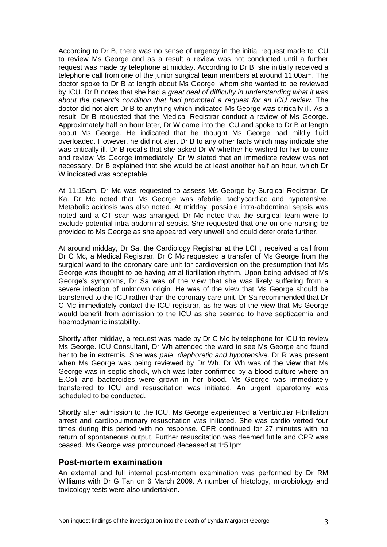According to Dr B, there was no sense of urgency in the initial request made to ICU to review Ms George and as a result a review was not conducted until a further request was made by telephone at midday. According to Dr B, she initially received a telephone call from one of the junior surgical team members at around 11:00am. The doctor spoke to Dr B at length about Ms George, whom she wanted to be reviewed by ICU. Dr B notes that she had a *great deal of difficulty in understanding what it was about the patient's condition that had prompted a request for an ICU review.* The doctor did not alert Dr B to anything which indicated Ms George was critically ill. As a result, Dr B requested that the Medical Registrar conduct a review of Ms George. Approximately half an hour later, Dr W came into the ICU and spoke to Dr B at length about Ms George. He indicated that he thought Ms George had mildly fluid overloaded. However, he did not alert Dr B to any other facts which may indicate she was critically ill. Dr B recalls that she asked Dr W whether he wished for her to come and review Ms George immediately. Dr W stated that an immediate review was not necessary. Dr B explained that she would be at least another half an hour, which Dr W indicated was acceptable.

At 11:15am, Dr Mc was requested to assess Ms George by Surgical Registrar, Dr Ka. Dr Mc noted that Ms George was afebrile, tachycardiac and hypotensive. Metabolic acidosis was also noted. At midday, possible intra-abdominal sepsis was noted and a CT scan was arranged. Dr Mc noted that the surgical team were to exclude potential intra-abdominal sepsis. She requested that one on one nursing be provided to Ms George as she appeared very unwell and could deteriorate further.

At around midday, Dr Sa, the Cardiology Registrar at the LCH, received a call from Dr C Mc, a Medical Registrar. Dr C Mc requested a transfer of Ms George from the surgical ward to the coronary care unit for cardioversion on the presumption that Ms George was thought to be having atrial fibrillation rhythm. Upon being advised of Ms George's symptoms, Dr Sa was of the view that she was likely suffering from a severe infection of unknown origin. He was of the view that Ms George should be transferred to the ICU rather than the coronary care unit. Dr Sa recommended that Dr C Mc immediately contact the ICU registrar, as he was of the view that Ms George would benefit from admission to the ICU as she seemed to have septicaemia and haemodynamic instability.

Shortly after midday, a request was made by Dr C Mc by telephone for ICU to review Ms George. ICU Consultant, Dr Wh attended the ward to see Ms George and found her to be in extremis. She was *pale, diaphoretic and hypotensive*. Dr R was present when Ms George was being reviewed by Dr Wh. Dr Wh was of the view that Ms George was in septic shock, which was later confirmed by a blood culture where an E.Coli and bacteroides were grown in her blood. Ms George was immediately transferred to ICU and resuscitation was initiated. An urgent laparotomy was scheduled to be conducted.

Shortly after admission to the ICU, Ms George experienced a Ventricular Fibrillation arrest and cardiopulmonary resuscitation was initiated. She was cardio verted four times during this period with no response. CPR continued for 27 minutes with no return of spontaneous output. Further resuscitation was deemed futile and CPR was ceased. Ms George was pronounced deceased at 1:51pm.

#### **Post-mortem examination**

An external and full internal post-mortem examination was performed by Dr RM Williams with Dr G Tan on 6 March 2009. A number of histology, microbiology and toxicology tests were also undertaken.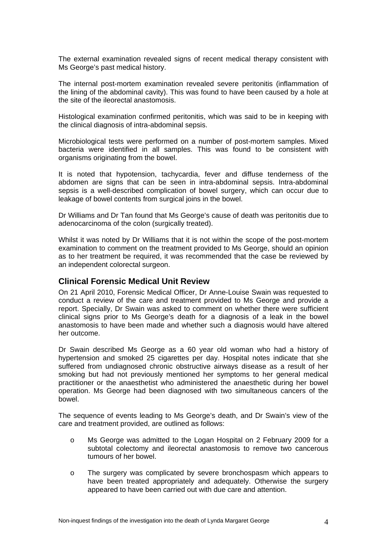The external examination revealed signs of recent medical therapy consistent with Ms George's past medical history.

The internal post-mortem examination revealed severe peritonitis (inflammation of the lining of the abdominal cavity). This was found to have been caused by a hole at the site of the ileorectal anastomosis.

Histological examination confirmed peritonitis, which was said to be in keeping with the clinical diagnosis of intra-abdominal sepsis.

Microbiological tests were performed on a number of post-mortem samples. Mixed bacteria were identified in all samples. This was found to be consistent with organisms originating from the bowel.

It is noted that hypotension, tachycardia, fever and diffuse tenderness of the abdomen are signs that can be seen in intra-abdominal sepsis. Intra-abdominal sepsis is a well-described complication of bowel surgery, which can occur due to leakage of bowel contents from surgical joins in the bowel.

Dr Williams and Dr Tan found that Ms George's cause of death was peritonitis due to adenocarcinoma of the colon (surgically treated).

Whilst it was noted by Dr Williams that it is not within the scope of the post-mortem examination to comment on the treatment provided to Ms George, should an opinion as to her treatment be required, it was recommended that the case be reviewed by an independent colorectal surgeon.

### **Clinical Forensic Medical Unit Review**

On 21 April 2010, Forensic Medical Officer, Dr Anne-Louise Swain was requested to conduct a review of the care and treatment provided to Ms George and provide a report. Specially, Dr Swain was asked to comment on whether there were sufficient clinical signs prior to Ms George's death for a diagnosis of a leak in the bowel anastomosis to have been made and whether such a diagnosis would have altered her outcome.

Dr Swain described Ms George as a 60 year old woman who had a history of hypertension and smoked 25 cigarettes per day. Hospital notes indicate that she suffered from undiagnosed chronic obstructive airways disease as a result of her smoking but had not previously mentioned her symptoms to her general medical practitioner or the anaesthetist who administered the anaesthetic during her bowel operation. Ms George had been diagnosed with two simultaneous cancers of the bowel.

The sequence of events leading to Ms George's death, and Dr Swain's view of the care and treatment provided, are outlined as follows:

- o Ms George was admitted to the Logan Hospital on 2 February 2009 for a subtotal colectomy and ileorectal anastomosis to remove two cancerous tumours of her bowel.
- o The surgery was complicated by severe bronchospasm which appears to have been treated appropriately and adequately. Otherwise the surgery appeared to have been carried out with due care and attention.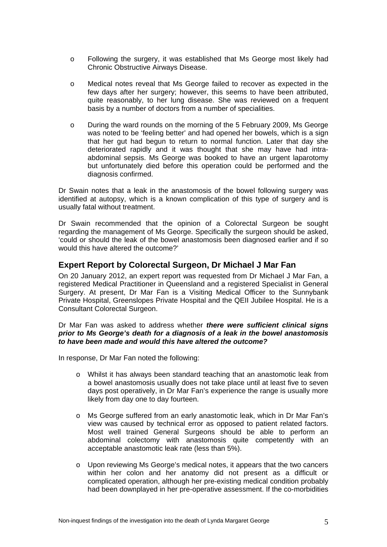- o Following the surgery, it was established that Ms George most likely had Chronic Obstructive Airways Disease.
- o Medical notes reveal that Ms George failed to recover as expected in the few days after her surgery; however, this seems to have been attributed, quite reasonably, to her lung disease. She was reviewed on a frequent basis by a number of doctors from a number of specialities.
- o During the ward rounds on the morning of the 5 February 2009, Ms George was noted to be 'feeling better' and had opened her bowels, which is a sign that her gut had begun to return to normal function. Later that day she deteriorated rapidly and it was thought that she may have had intraabdominal sepsis. Ms George was booked to have an urgent laparotomy but unfortunately died before this operation could be performed and the diagnosis confirmed.

Dr Swain notes that a leak in the anastomosis of the bowel following surgery was identified at autopsy, which is a known complication of this type of surgery and is usually fatal without treatment.

Dr Swain recommended that the opinion of a Colorectal Surgeon be sought regarding the management of Ms George. Specifically the surgeon should be asked, 'could or should the leak of the bowel anastomosis been diagnosed earlier and if so would this have altered the outcome?'

## **Expert Report by Colorectal Surgeon, Dr Michael J Mar Fan**

On 20 January 2012, an expert report was requested from Dr Michael J Mar Fan, a registered Medical Practitioner in Queensland and a registered Specialist in General Surgery. At present, Dr Mar Fan is a Visiting Medical Officer to the Sunnybank Private Hospital, Greenslopes Private Hospital and the QEII Jubilee Hospital. He is a Consultant Colorectal Surgeon.

#### Dr Mar Fan was asked to address whether *there were sufficient clinical signs prior to Ms George's death for a diagnosis of a leak in the bowel anastomosis to have been made and would this have altered the outcome?*

In response, Dr Mar Fan noted the following:

- o Whilst it has always been standard teaching that an anastomotic leak from a bowel anastomosis usually does not take place until at least five to seven days post operatively, in Dr Mar Fan's experience the range is usually more likely from day one to day fourteen.
- o Ms George suffered from an early anastomotic leak, which in Dr Mar Fan's view was caused by technical error as opposed to patient related factors. Most well trained General Surgeons should be able to perform an abdominal colectomy with anastomosis quite competently with an acceptable anastomotic leak rate (less than 5%).
- o Upon reviewing Ms George's medical notes, it appears that the two cancers within her colon and her anatomy did not present as a difficult or complicated operation, although her pre-existing medical condition probably had been downplayed in her pre-operative assessment. If the co-morbidities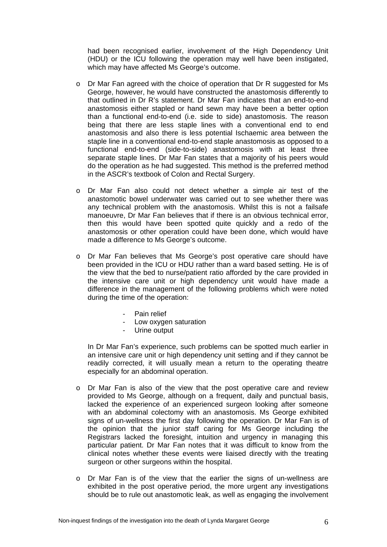had been recognised earlier, involvement of the High Dependency Unit (HDU) or the ICU following the operation may well have been instigated, which may have affected Ms George's outcome.

- o Dr Mar Fan agreed with the choice of operation that Dr R suggested for Ms George, however, he would have constructed the anastomosis differently to that outlined in Dr R's statement. Dr Mar Fan indicates that an end-to-end anastomosis either stapled or hand sewn may have been a better option than a functional end-to-end (i.e. side to side) anastomosis. The reason being that there are less staple lines with a conventional end to end anastomosis and also there is less potential Ischaemic area between the staple line in a conventional end-to-end staple anastomosis as opposed to a functional end-to-end (side-to-side) anastomosis with at least three separate staple lines. Dr Mar Fan states that a majority of his peers would do the operation as he had suggested. This method is the preferred method in the ASCR's textbook of Colon and Rectal Surgery.
- o Dr Mar Fan also could not detect whether a simple air test of the anastomotic bowel underwater was carried out to see whether there was any technical problem with the anastomosis. Whilst this is not a failsafe manoeuvre, Dr Mar Fan believes that if there is an obvious technical error, then this would have been spotted quite quickly and a redo of the anastomosis or other operation could have been done, which would have made a difference to Ms George's outcome.
- o Dr Mar Fan believes that Ms George's post operative care should have been provided in the ICU or HDU rather than a ward based setting. He is of the view that the bed to nurse/patient ratio afforded by the care provided in the intensive care unit or high dependency unit would have made a difference in the management of the following problems which were noted during the time of the operation:
	- Pain relief
	- Low oxygen saturation
	- Urine output

 In Dr Mar Fan's experience, such problems can be spotted much earlier in an intensive care unit or high dependency unit setting and if they cannot be readily corrected, it will usually mean a return to the operating theatre especially for an abdominal operation.

- o Dr Mar Fan is also of the view that the post operative care and review provided to Ms George, although on a frequent, daily and punctual basis, lacked the experience of an experienced surgeon looking after someone with an abdominal colectomy with an anastomosis. Ms George exhibited signs of un-wellness the first day following the operation. Dr Mar Fan is of the opinion that the junior staff caring for Ms George including the Registrars lacked the foresight, intuition and urgency in managing this particular patient. Dr Mar Fan notes that it was difficult to know from the clinical notes whether these events were liaised directly with the treating surgeon or other surgeons within the hospital.
- o Dr Mar Fan is of the view that the earlier the signs of un-wellness are exhibited in the post operative period, the more urgent any investigations should be to rule out anastomotic leak, as well as engaging the involvement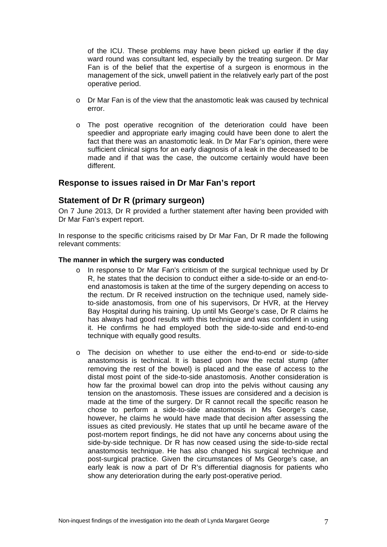of the ICU. These problems may have been picked up earlier if the day ward round was consultant led, especially by the treating surgeon. Dr Mar Fan is of the belief that the expertise of a surgeon is enormous in the management of the sick, unwell patient in the relatively early part of the post operative period.

- $\circ$  Dr Mar Fan is of the view that the anastomotic leak was caused by technical error.
- o The post operative recognition of the deterioration could have been speedier and appropriate early imaging could have been done to alert the fact that there was an anastomotic leak. In Dr Mar Far's opinion, there were sufficient clinical signs for an early diagnosis of a leak in the deceased to be made and if that was the case, the outcome certainly would have been different.

## **Response to issues raised in Dr Mar Fan's report**

## **Statement of Dr R (primary surgeon)**

On 7 June 2013, Dr R provided a further statement after having been provided with Dr Mar Fan's expert report.

In response to the specific criticisms raised by Dr Mar Fan, Dr R made the following relevant comments:

#### **The manner in which the surgery was conducted**

- o In response to Dr Mar Fan's criticism of the surgical technique used by Dr R, he states that the decision to conduct either a side-to-side or an end-toend anastomosis is taken at the time of the surgery depending on access to the rectum. Dr R received instruction on the technique used, namely sideto-side anastomosis, from one of his supervisors, Dr HVR, at the Hervey Bay Hospital during his training. Up until Ms George's case, Dr R claims he has always had good results with this technique and was confident in using it. He confirms he had employed both the side-to-side and end-to-end technique with equally good results.
- o The decision on whether to use either the end-to-end or side-to-side anastomosis is technical. It is based upon how the rectal stump (after removing the rest of the bowel) is placed and the ease of access to the distal most point of the side-to-side anastomosis. Another consideration is how far the proximal bowel can drop into the pelvis without causing any tension on the anastomosis. These issues are considered and a decision is made at the time of the surgery. Dr R cannot recall the specific reason he chose to perform a side-to-side anastomosis in Ms George's case, however, he claims he would have made that decision after assessing the issues as cited previously. He states that up until he became aware of the post-mortem report findings, he did not have any concerns about using the side-by-side technique. Dr R has now ceased using the side-to-side rectal anastomosis technique. He has also changed his surgical technique and post-surgical practice. Given the circumstances of Ms George's case, an early leak is now a part of Dr R's differential diagnosis for patients who show any deterioration during the early post-operative period.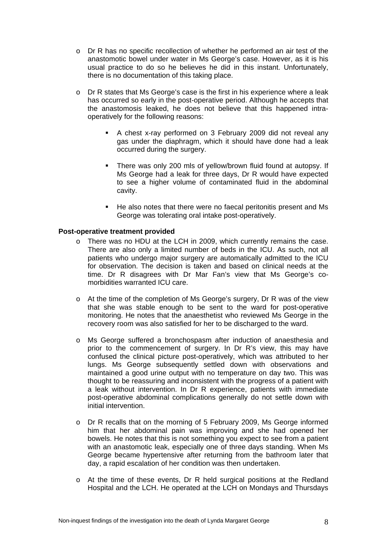- o Dr R has no specific recollection of whether he performed an air test of the anastomotic bowel under water in Ms George's case. However, as it is his usual practice to do so he believes he did in this instant. Unfortunately, there is no documentation of this taking place.
- o Dr R states that Ms George's case is the first in his experience where a leak has occurred so early in the post-operative period. Although he accepts that the anastomosis leaked, he does not believe that this happened intraoperatively for the following reasons:
	- A chest x-ray performed on 3 February 2009 did not reveal any gas under the diaphragm, which it should have done had a leak occurred during the surgery.
	- There was only 200 mls of yellow/brown fluid found at autopsy. If Ms George had a leak for three days, Dr R would have expected to see a higher volume of contaminated fluid in the abdominal cavity.
	- He also notes that there were no faecal peritonitis present and Ms George was tolerating oral intake post-operatively.

#### **Post-operative treatment provided**

- o There was no HDU at the LCH in 2009, which currently remains the case. There are also only a limited number of beds in the ICU. As such, not all patients who undergo major surgery are automatically admitted to the ICU for observation. The decision is taken and based on clinical needs at the time. Dr R disagrees with Dr Mar Fan's view that Ms George's comorbidities warranted ICU care.
- o At the time of the completion of Ms George's surgery, Dr R was of the view that she was stable enough to be sent to the ward for post-operative monitoring. He notes that the anaesthetist who reviewed Ms George in the recovery room was also satisfied for her to be discharged to the ward.
- o Ms George suffered a bronchospasm after induction of anaesthesia and prior to the commencement of surgery. In Dr R's view, this may have confused the clinical picture post-operatively, which was attributed to her lungs. Ms George subsequently settled down with observations and maintained a good urine output with no temperature on day two. This was thought to be reassuring and inconsistent with the progress of a patient with a leak without intervention. In Dr R experience, patients with immediate post-operative abdominal complications generally do not settle down with initial intervention.
- o Dr R recalls that on the morning of 5 February 2009, Ms George informed him that her abdominal pain was improving and she had opened her bowels. He notes that this is not something you expect to see from a patient with an anastomotic leak, especially one of three days standing. When Ms George became hypertensive after returning from the bathroom later that day, a rapid escalation of her condition was then undertaken.
- o At the time of these events, Dr R held surgical positions at the Redland Hospital and the LCH. He operated at the LCH on Mondays and Thursdays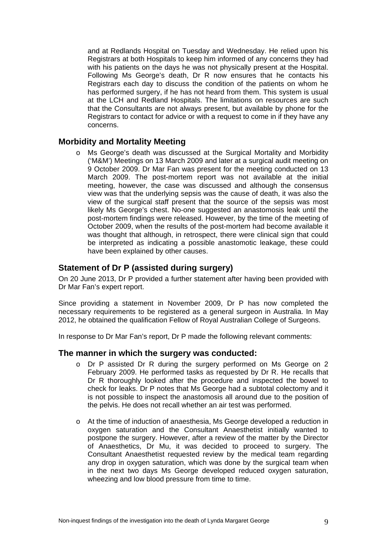and at Redlands Hospital on Tuesday and Wednesday. He relied upon his Registrars at both Hospitals to keep him informed of any concerns they had with his patients on the days he was not physically present at the Hospital. Following Ms George's death, Dr R now ensures that he contacts his Registrars each day to discuss the condition of the patients on whom he has performed surgery, if he has not heard from them. This system is usual at the LCH and Redland Hospitals. The limitations on resources are such that the Consultants are not always present, but available by phone for the Registrars to contact for advice or with a request to come in if they have any concerns.

## **Morbidity and Mortality Meeting**

o Ms George's death was discussed at the Surgical Mortality and Morbidity ('M&M') Meetings on 13 March 2009 and later at a surgical audit meeting on 9 October 2009. Dr Mar Fan was present for the meeting conducted on 13 March 2009. The post-mortem report was not available at the initial meeting, however, the case was discussed and although the consensus view was that the underlying sepsis was the cause of death, it was also the view of the surgical staff present that the source of the sepsis was most likely Ms George's chest. No-one suggested an anastomosis leak until the post-mortem findings were released. However, by the time of the meeting of October 2009, when the results of the post-mortem had become available it was thought that although, in retrospect, there were clinical sign that could be interpreted as indicating a possible anastomotic leakage, these could have been explained by other causes.

## **Statement of Dr P (assisted during surgery)**

On 20 June 2013, Dr P provided a further statement after having been provided with Dr Mar Fan's expert report.

Since providing a statement in November 2009, Dr P has now completed the necessary requirements to be registered as a general surgeon in Australia. In May 2012, he obtained the qualification Fellow of Royal Australian College of Surgeons.

In response to Dr Mar Fan's report, Dr P made the following relevant comments:

#### **The manner in which the surgery was conducted:**

- o Dr P assisted Dr R during the surgery performed on Ms George on 2 February 2009. He performed tasks as requested by Dr R. He recalls that Dr R thoroughly looked after the procedure and inspected the bowel to check for leaks. Dr P notes that Ms George had a subtotal colectomy and it is not possible to inspect the anastomosis all around due to the position of the pelvis. He does not recall whether an air test was performed.
- o At the time of induction of anaesthesia, Ms George developed a reduction in oxygen saturation and the Consultant Anaesthetist initially wanted to postpone the surgery. However, after a review of the matter by the Director of Anaesthetics, Dr Mu, it was decided to proceed to surgery. The Consultant Anaesthetist requested review by the medical team regarding any drop in oxygen saturation, which was done by the surgical team when in the next two days Ms George developed reduced oxygen saturation, wheezing and low blood pressure from time to time.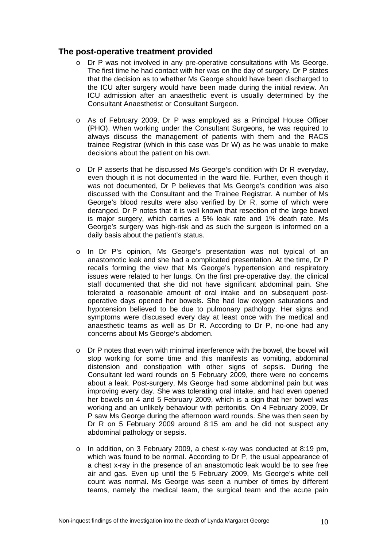## **The post-operative treatment provided**

- o Dr P was not involved in any pre-operative consultations with Ms George. The first time he had contact with her was on the day of surgery. Dr P states that the decision as to whether Ms George should have been discharged to the ICU after surgery would have been made during the initial review. An ICU admission after an anaesthetic event is usually determined by the Consultant Anaesthetist or Consultant Surgeon.
- o As of February 2009, Dr P was employed as a Principal House Officer (PHO). When working under the Consultant Surgeons, he was required to always discuss the management of patients with them and the RACS trainee Registrar (which in this case was Dr W) as he was unable to make decisions about the patient on his own.
- o Dr P asserts that he discussed Ms George's condition with Dr R everyday, even though it is not documented in the ward file. Further, even though it was not documented, Dr P believes that Ms George's condition was also discussed with the Consultant and the Trainee Registrar. A number of Ms George's blood results were also verified by Dr R, some of which were deranged. Dr P notes that it is well known that resection of the large bowel is major surgery, which carries a 5% leak rate and 1% death rate. Ms George's surgery was high-risk and as such the surgeon is informed on a daily basis about the patient's status.
- o In Dr P's opinion, Ms George's presentation was not typical of an anastomotic leak and she had a complicated presentation. At the time, Dr P recalls forming the view that Ms George's hypertension and respiratory issues were related to her lungs. On the first pre-operative day, the clinical staff documented that she did not have significant abdominal pain. She tolerated a reasonable amount of oral intake and on subsequent postoperative days opened her bowels. She had low oxygen saturations and hypotension believed to be due to pulmonary pathology. Her signs and symptoms were discussed every day at least once with the medical and anaesthetic teams as well as Dr R. According to Dr P, no-one had any concerns about Ms George's abdomen.
- $\circ$  Dr P notes that even with minimal interference with the bowel, the bowel will stop working for some time and this manifests as vomiting, abdominal distension and constipation with other signs of sepsis. During the Consultant led ward rounds on 5 February 2009, there were no concerns about a leak. Post-surgery, Ms George had some abdominal pain but was improving every day. She was tolerating oral intake, and had even opened her bowels on 4 and 5 February 2009, which is a sign that her bowel was working and an unlikely behaviour with peritonitis. On 4 February 2009, Dr P saw Ms George during the afternoon ward rounds. She was then seen by Dr R on 5 February 2009 around 8:15 am and he did not suspect any abdominal pathology or sepsis.
- $\circ$  In addition, on 3 February 2009, a chest x-ray was conducted at 8:19 pm, which was found to be normal. According to Dr P, the usual appearance of a chest x-ray in the presence of an anastomotic leak would be to see free air and gas. Even up until the 5 February 2009, Ms George's white cell count was normal. Ms George was seen a number of times by different teams, namely the medical team, the surgical team and the acute pain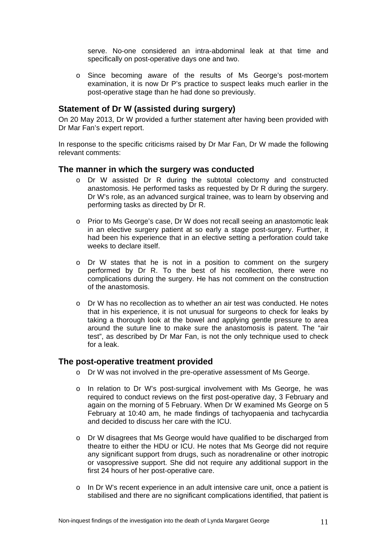serve. No-one considered an intra-abdominal leak at that time and specifically on post-operative days one and two.

o Since becoming aware of the results of Ms George's post-mortem examination, it is now Dr P's practice to suspect leaks much earlier in the post-operative stage than he had done so previously.

## **Statement of Dr W (assisted during surgery)**

On 20 May 2013, Dr W provided a further statement after having been provided with Dr Mar Fan's expert report.

In response to the specific criticisms raised by Dr Mar Fan, Dr W made the following relevant comments:

### **The manner in which the surgery was conducted**

- o Dr W assisted Dr R during the subtotal colectomy and constructed anastomosis. He performed tasks as requested by Dr R during the surgery. Dr W's role, as an advanced surgical trainee, was to learn by observing and performing tasks as directed by Dr R.
- o Prior to Ms George's case, Dr W does not recall seeing an anastomotic leak in an elective surgery patient at so early a stage post-surgery. Further, it had been his experience that in an elective setting a perforation could take weeks to declare itself.
- o Dr W states that he is not in a position to comment on the surgery performed by Dr R. To the best of his recollection, there were no complications during the surgery. He has not comment on the construction of the anastomosis.
- o Dr W has no recollection as to whether an air test was conducted. He notes that in his experience, it is not unusual for surgeons to check for leaks by taking a thorough look at the bowel and applying gentle pressure to area around the suture line to make sure the anastomosis is patent. The "air test", as described by Dr Mar Fan, is not the only technique used to check for a leak.

### **The post-operative treatment provided**

- o Dr W was not involved in the pre-operative assessment of Ms George.
- o In relation to Dr W's post-surgical involvement with Ms George, he was required to conduct reviews on the first post-operative day, 3 February and again on the morning of 5 February. When Dr W examined Ms George on 5 February at 10:40 am, he made findings of tachyopaenia and tachycardia and decided to discuss her care with the ICU.
- o Dr W disagrees that Ms George would have qualified to be discharged from theatre to either the HDU or ICU. He notes that Ms George did not require any significant support from drugs, such as noradrenaline or other inotropic or vasopressive support. She did not require any additional support in the first 24 hours of her post-operative care.
- o In Dr W's recent experience in an adult intensive care unit, once a patient is stabilised and there are no significant complications identified, that patient is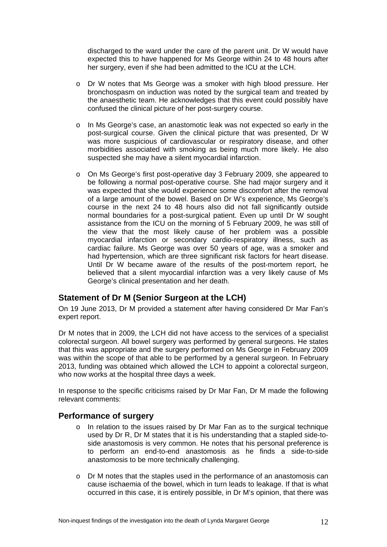discharged to the ward under the care of the parent unit. Dr W would have expected this to have happened for Ms George within 24 to 48 hours after her surgery, even if she had been admitted to the ICU at the LCH.

- o Dr W notes that Ms George was a smoker with high blood pressure. Her bronchospasm on induction was noted by the surgical team and treated by the anaesthetic team. He acknowledges that this event could possibly have confused the clinical picture of her post-surgery course.
- o In Ms George's case, an anastomotic leak was not expected so early in the post-surgical course. Given the clinical picture that was presented, Dr W was more suspicious of cardiovascular or respiratory disease, and other morbidities associated with smoking as being much more likely. He also suspected she may have a silent myocardial infarction.
- o On Ms George's first post-operative day 3 February 2009, she appeared to be following a normal post-operative course. She had major surgery and it was expected that she would experience some discomfort after the removal of a large amount of the bowel. Based on Dr W's experience, Ms George's course in the next 24 to 48 hours also did not fall significantly outside normal boundaries for a post-surgical patient. Even up until Dr W sought assistance from the ICU on the morning of 5 February 2009, he was still of the view that the most likely cause of her problem was a possible myocardial infarction or secondary cardio-respiratory illness, such as cardiac failure. Ms George was over 50 years of age, was a smoker and had hypertension, which are three significant risk factors for heart disease. Until Dr W became aware of the results of the post-mortem report, he believed that a silent myocardial infarction was a very likely cause of Ms George's clinical presentation and her death.

# **Statement of Dr M (Senior Surgeon at the LCH)**

On 19 June 2013, Dr M provided a statement after having considered Dr Mar Fan's expert report.

Dr M notes that in 2009, the LCH did not have access to the services of a specialist colorectal surgeon. All bowel surgery was performed by general surgeons. He states that this was appropriate and the surgery performed on Ms George in February 2009 was within the scope of that able to be performed by a general surgeon. In February 2013, funding was obtained which allowed the LCH to appoint a colorectal surgeon, who now works at the hospital three days a week.

In response to the specific criticisms raised by Dr Mar Fan, Dr M made the following relevant comments:

### **Performance of surgery**

- $\circ$  In relation to the issues raised by Dr Mar Fan as to the surgical technique used by Dr R, Dr M states that it is his understanding that a stapled side-toside anastomosis is very common. He notes that his personal preference is to perform an end-to-end anastomosis as he finds a side-to-side anastomosis to be more technically challenging.
- o Dr M notes that the staples used in the performance of an anastomosis can cause ischaemia of the bowel, which in turn leads to leakage. If that is what occurred in this case, it is entirely possible, in Dr M's opinion, that there was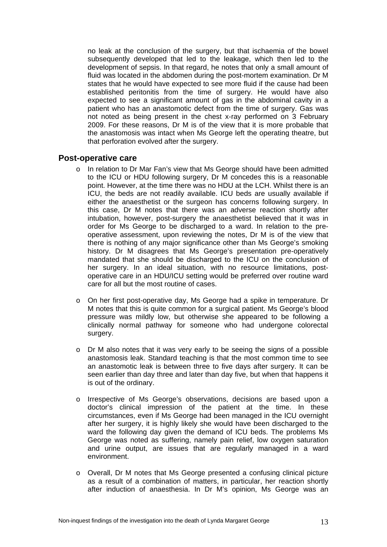no leak at the conclusion of the surgery, but that ischaemia of the bowel subsequently developed that led to the leakage, which then led to the development of sepsis. In that regard, he notes that only a small amount of fluid was located in the abdomen during the post-mortem examination. Dr M states that he would have expected to see more fluid if the cause had been established peritonitis from the time of surgery. He would have also expected to see a significant amount of gas in the abdominal cavity in a patient who has an anastomotic defect from the time of surgery. Gas was not noted as being present in the chest x-ray performed on 3 February 2009. For these reasons, Dr M is of the view that it is more probable that the anastomosis was intact when Ms George left the operating theatre, but that perforation evolved after the surgery.

## **Post-operative care**

- o In relation to Dr Mar Fan's view that Ms George should have been admitted to the ICU or HDU following surgery, Dr M concedes this is a reasonable point. However, at the time there was no HDU at the LCH. Whilst there is an ICU, the beds are not readily available. ICU beds are usually available if either the anaesthetist or the surgeon has concerns following surgery. In this case, Dr M notes that there was an adverse reaction shortly after intubation, however, post-surgery the anaesthetist believed that it was in order for Ms George to be discharged to a ward. In relation to the preoperative assessment, upon reviewing the notes, Dr M is of the view that there is nothing of any major significance other than Ms George's smoking history. Dr M disagrees that Ms George's presentation pre-operatively mandated that she should be discharged to the ICU on the conclusion of her surgery. In an ideal situation, with no resource limitations, postoperative care in an HDU/ICU setting would be preferred over routine ward care for all but the most routine of cases.
- o On her first post-operative day, Ms George had a spike in temperature. Dr M notes that this is quite common for a surgical patient. Ms George's blood pressure was mildly low, but otherwise she appeared to be following a clinically normal pathway for someone who had undergone colorectal surgery.
- $\circ$  Dr M also notes that it was very early to be seeing the signs of a possible anastomosis leak. Standard teaching is that the most common time to see an anastomotic leak is between three to five days after surgery. It can be seen earlier than day three and later than day five, but when that happens it is out of the ordinary.
- o Irrespective of Ms George's observations, decisions are based upon a doctor's clinical impression of the patient at the time. In these circumstances, even if Ms George had been managed in the ICU overnight after her surgery, it is highly likely she would have been discharged to the ward the following day given the demand of ICU beds. The problems Ms George was noted as suffering, namely pain relief, low oxygen saturation and urine output, are issues that are regularly managed in a ward environment.
- o Overall, Dr M notes that Ms George presented a confusing clinical picture as a result of a combination of matters, in particular, her reaction shortly after induction of anaesthesia. In Dr M's opinion, Ms George was an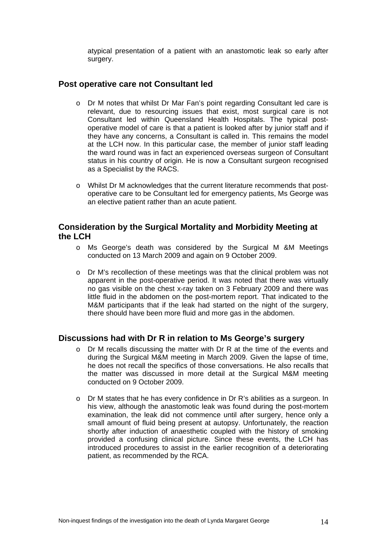atypical presentation of a patient with an anastomotic leak so early after surgery.

## **Post operative care not Consultant led**

- o Dr M notes that whilst Dr Mar Fan's point regarding Consultant led care is relevant, due to resourcing issues that exist, most surgical care is not Consultant led within Queensland Health Hospitals. The typical postoperative model of care is that a patient is looked after by junior staff and if they have any concerns, a Consultant is called in. This remains the model at the LCH now. In this particular case, the member of junior staff leading the ward round was in fact an experienced overseas surgeon of Consultant status in his country of origin. He is now a Consultant surgeon recognised as a Specialist by the RACS.
- o Whilst Dr M acknowledges that the current literature recommends that postoperative care to be Consultant led for emergency patients, Ms George was an elective patient rather than an acute patient.

## **Consideration by the Surgical Mortality and Morbidity Meeting at the LCH**

- o Ms George's death was considered by the Surgical M &M Meetings conducted on 13 March 2009 and again on 9 October 2009.
- o Dr M's recollection of these meetings was that the clinical problem was not apparent in the post-operative period. It was noted that there was virtually no gas visible on the chest x-ray taken on 3 February 2009 and there was little fluid in the abdomen on the post-mortem report. That indicated to the M&M participants that if the leak had started on the night of the surgery, there should have been more fluid and more gas in the abdomen.

# **Discussions had with Dr R in relation to Ms George's surgery**

- o Dr M recalls discussing the matter with Dr R at the time of the events and during the Surgical M&M meeting in March 2009. Given the lapse of time, he does not recall the specifics of those conversations. He also recalls that the matter was discussed in more detail at the Surgical M&M meeting conducted on 9 October 2009.
- o Dr M states that he has every confidence in Dr R's abilities as a surgeon. In his view, although the anastomotic leak was found during the post-mortem examination, the leak did not commence until after surgery, hence only a small amount of fluid being present at autopsy. Unfortunately, the reaction shortly after induction of anaesthetic coupled with the history of smoking provided a confusing clinical picture. Since these events, the LCH has introduced procedures to assist in the earlier recognition of a deteriorating patient, as recommended by the RCA.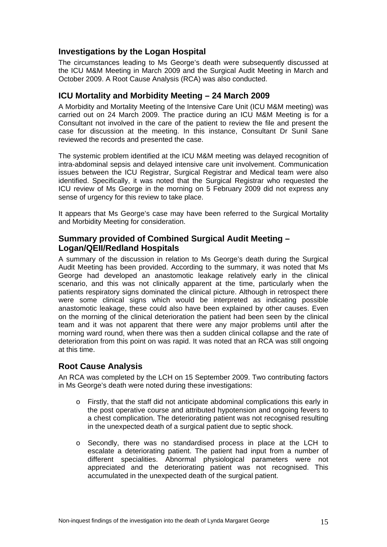# **Investigations by the Logan Hospital**

The circumstances leading to Ms George's death were subsequently discussed at the ICU M&M Meeting in March 2009 and the Surgical Audit Meeting in March and October 2009. A Root Cause Analysis (RCA) was also conducted.

## **ICU Mortality and Morbidity Meeting – 24 March 2009**

A Morbidity and Mortality Meeting of the Intensive Care Unit (ICU M&M meeting) was carried out on 24 March 2009. The practice during an ICU M&M Meeting is for a Consultant not involved in the care of the patient to review the file and present the case for discussion at the meeting. In this instance, Consultant Dr Sunil Sane reviewed the records and presented the case.

The systemic problem identified at the ICU M&M meeting was delayed recognition of intra-abdominal sepsis and delayed intensive care unit involvement. Communication issues between the ICU Registrar, Surgical Registrar and Medical team were also identified. Specifically, it was noted that the Surgical Registrar who requested the ICU review of Ms George in the morning on 5 February 2009 did not express any sense of urgency for this review to take place.

It appears that Ms George's case may have been referred to the Surgical Mortality and Morbidity Meeting for consideration.

# **Summary provided of Combined Surgical Audit Meeting – Logan/QEII/Redland Hospitals**

A summary of the discussion in relation to Ms George's death during the Surgical Audit Meeting has been provided. According to the summary, it was noted that Ms George had developed an anastomotic leakage relatively early in the clinical scenario, and this was not clinically apparent at the time, particularly when the patients respiratory signs dominated the clinical picture. Although in retrospect there were some clinical signs which would be interpreted as indicating possible anastomotic leakage, these could also have been explained by other causes. Even on the morning of the clinical deterioration the patient had been seen by the clinical team and it was not apparent that there were any major problems until after the morning ward round, when there was then a sudden clinical collapse and the rate of deterioration from this point on was rapid. It was noted that an RCA was still ongoing at this time.

# **Root Cause Analysis**

An RCA was completed by the LCH on 15 September 2009. Two contributing factors in Ms George's death were noted during these investigations:

- o Firstly, that the staff did not anticipate abdominal complications this early in the post operative course and attributed hypotension and ongoing fevers to a chest complication. The deteriorating patient was not recognised resulting in the unexpected death of a surgical patient due to septic shock.
- o Secondly, there was no standardised process in place at the LCH to escalate a deteriorating patient. The patient had input from a number of different specialities. Abnormal physiological parameters were not appreciated and the deteriorating patient was not recognised. This accumulated in the unexpected death of the surgical patient.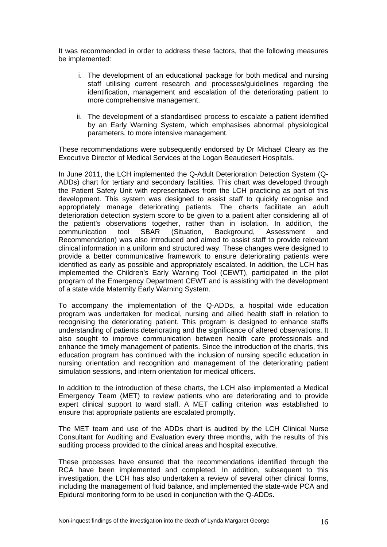It was recommended in order to address these factors, that the following measures be implemented:

- i. The development of an educational package for both medical and nursing staff utilising current research and processes/quidelines regarding the identification, management and escalation of the deteriorating patient to more comprehensive management.
- ii. The development of a standardised process to escalate a patient identified by an Early Warning System, which emphasises abnormal physiological parameters, to more intensive management.

These recommendations were subsequently endorsed by Dr Michael Cleary as the Executive Director of Medical Services at the Logan Beaudesert Hospitals.

In June 2011, the LCH implemented the Q-Adult Deterioration Detection System (Q-ADDs) chart for tertiary and secondary facilities. This chart was developed through the Patient Safety Unit with representatives from the LCH practicing as part of this development. This system was designed to assist staff to quickly recognise and appropriately manage deteriorating patients. The charts facilitate an adult deterioration detection system score to be given to a patient after considering all of the patient's observations together, rather than in isolation. In addition, the communication tool SBAR (Situation, Background, Assessment and Recommendation) was also introduced and aimed to assist staff to provide relevant clinical information in a uniform and structured way. These changes were designed to provide a better communicative framework to ensure deteriorating patients were identified as early as possible and appropriately escalated. In addition, the LCH has implemented the Children's Early Warning Tool (CEWT), participated in the pilot program of the Emergency Department CEWT and is assisting with the development of a state wide Maternity Early Warning System.

To accompany the implementation of the Q-ADDs, a hospital wide education program was undertaken for medical, nursing and allied health staff in relation to recognising the deteriorating patient. This program is designed to enhance staffs understanding of patients deteriorating and the significance of altered observations. It also sought to improve communication between health care professionals and enhance the timely management of patients. Since the introduction of the charts, this education program has continued with the inclusion of nursing specific education in nursing orientation and recognition and management of the deteriorating patient simulation sessions, and intern orientation for medical officers.

In addition to the introduction of these charts, the LCH also implemented a Medical Emergency Team (MET) to review patients who are deteriorating and to provide expert clinical support to ward staff. A MET calling criterion was established to ensure that appropriate patients are escalated promptly.

The MET team and use of the ADDs chart is audited by the LCH Clinical Nurse Consultant for Auditing and Evaluation every three months, with the results of this auditing process provided to the clinical areas and hospital executive.

These processes have ensured that the recommendations identified through the RCA have been implemented and completed. In addition, subsequent to this investigation, the LCH has also undertaken a review of several other clinical forms, including the management of fluid balance, and implemented the state-wide PCA and Epidural monitoring form to be used in conjunction with the Q-ADDs.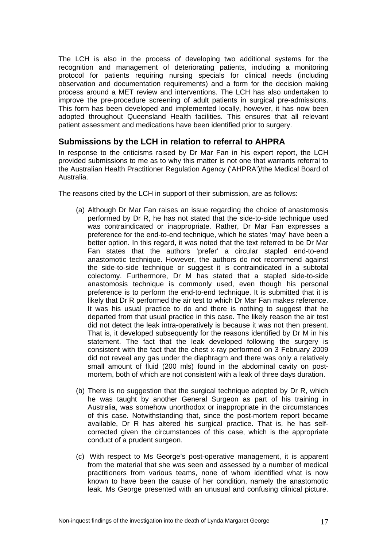The LCH is also in the process of developing two additional systems for the recognition and management of deteriorating patients, including a monitoring protocol for patients requiring nursing specials for clinical needs (including observation and documentation requirements) and a form for the decision making process around a MET review and interventions. The LCH has also undertaken to improve the pre-procedure screening of adult patients in surgical pre-admissions. This form has been developed and implemented locally, however, it has now been adopted throughout Queensland Health facilities. This ensures that all relevant patient assessment and medications have been identified prior to surgery.

# **Submissions by the LCH in relation to referral to AHPRA**

In response to the criticisms raised by Dr Mar Fan in his expert report, the LCH provided submissions to me as to why this matter is not one that warrants referral to the Australian Health Practitioner Regulation Agency ('AHPRA')/the Medical Board of Australia.

The reasons cited by the LCH in support of their submission, are as follows:

- (a) Although Dr Mar Fan raises an issue regarding the choice of anastomosis performed by Dr R, he has not stated that the side-to-side technique used was contraindicated or inappropriate. Rather, Dr Mar Fan expresses a preference for the end-to-end technique, which he states 'may' have been a better option. In this regard, it was noted that the text referred to be Dr Mar Fan states that the authors 'prefer' a circular stapled end-to-end anastomotic technique. However, the authors do not recommend against the side-to-side technique or suggest it is contraindicated in a subtotal colectomy. Furthermore, Dr M has stated that a stapled side-to-side anastomosis technique is commonly used, even though his personal preference is to perform the end-to-end technique. It is submitted that it is likely that Dr R performed the air test to which Dr Mar Fan makes reference. It was his usual practice to do and there is nothing to suggest that he departed from that usual practice in this case. The likely reason the air test did not detect the leak intra-operatively is because it was not then present. That is, it developed subsequently for the reasons identified by Dr M in his statement. The fact that the leak developed following the surgery is consistent with the fact that the chest x-ray performed on 3 February 2009 did not reveal any gas under the diaphragm and there was only a relatively small amount of fluid (200 mls) found in the abdominal cavity on postmortem, both of which are not consistent with a leak of three days duration.
- (b) There is no suggestion that the surgical technique adopted by Dr R, which he was taught by another General Surgeon as part of his training in Australia, was somehow unorthodox or inappropriate in the circumstances of this case. Notwithstanding that, since the post-mortem report became available, Dr R has altered his surgical practice. That is, he has selfcorrected given the circumstances of this case, which is the appropriate conduct of a prudent surgeon.
- (c) With respect to Ms George's post-operative management, it is apparent from the material that she was seen and assessed by a number of medical practitioners from various teams, none of whom identified what is now known to have been the cause of her condition, namely the anastomotic leak. Ms George presented with an unusual and confusing clinical picture.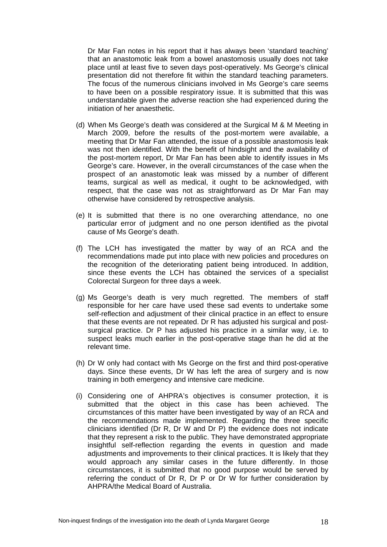Dr Mar Fan notes in his report that it has always been 'standard teaching' that an anastomotic leak from a bowel anastomosis usually does not take place until at least five to seven days post-operatively. Ms George's clinical presentation did not therefore fit within the standard teaching parameters. The focus of the numerous clinicians involved in Ms George's care seems to have been on a possible respiratory issue. It is submitted that this was understandable given the adverse reaction she had experienced during the initiation of her anaesthetic.

- (d) When Ms George's death was considered at the Surgical M & M Meeting in March 2009, before the results of the post-mortem were available, a meeting that Dr Mar Fan attended, the issue of a possible anastomosis leak was not then identified. With the benefit of hindsight and the availability of the post-mortem report, Dr Mar Fan has been able to identify issues in Ms George's care. However, in the overall circumstances of the case when the prospect of an anastomotic leak was missed by a number of different teams, surgical as well as medical, it ought to be acknowledged, with respect, that the case was not as straightforward as Dr Mar Fan may otherwise have considered by retrospective analysis.
- (e) It is submitted that there is no one overarching attendance, no one particular error of judgment and no one person identified as the pivotal cause of Ms George's death.
- (f) The LCH has investigated the matter by way of an RCA and the recommendations made put into place with new policies and procedures on the recognition of the deteriorating patient being introduced. In addition, since these events the LCH has obtained the services of a specialist Colorectal Surgeon for three days a week.
- (g) Ms George's death is very much regretted. The members of staff responsible for her care have used these sad events to undertake some self-reflection and adjustment of their clinical practice in an effect to ensure that these events are not repeated. Dr R has adjusted his surgical and postsurgical practice. Dr P has adjusted his practice in a similar way, i.e. to suspect leaks much earlier in the post-operative stage than he did at the relevant time.
- (h) Dr W only had contact with Ms George on the first and third post-operative days. Since these events, Dr W has left the area of surgery and is now training in both emergency and intensive care medicine.
- (i) Considering one of AHPRA's objectives is consumer protection, it is submitted that the object in this case has been achieved. The circumstances of this matter have been investigated by way of an RCA and the recommendations made implemented. Regarding the three specific clinicians identified (Dr R, Dr W and Dr P) the evidence does not indicate that they represent a risk to the public. They have demonstrated appropriate insightful self-reflection regarding the events in question and made adjustments and improvements to their clinical practices. It is likely that they would approach any similar cases in the future differently. In those circumstances, it is submitted that no good purpose would be served by referring the conduct of Dr R, Dr P or Dr W for further consideration by AHPRA/the Medical Board of Australia.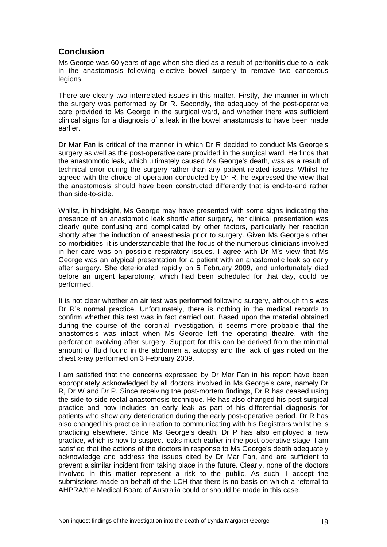# **Conclusion**

Ms George was 60 years of age when she died as a result of peritonitis due to a leak in the anastomosis following elective bowel surgery to remove two cancerous legions.

There are clearly two interrelated issues in this matter. Firstly, the manner in which the surgery was performed by Dr R. Secondly, the adequacy of the post-operative care provided to Ms George in the surgical ward, and whether there was sufficient clinical signs for a diagnosis of a leak in the bowel anastomosis to have been made earlier.

Dr Mar Fan is critical of the manner in which Dr R decided to conduct Ms George's surgery as well as the post-operative care provided in the surgical ward. He finds that the anastomotic leak, which ultimately caused Ms George's death, was as a result of technical error during the surgery rather than any patient related issues. Whilst he agreed with the choice of operation conducted by Dr R, he expressed the view that the anastomosis should have been constructed differently that is end-to-end rather than side-to-side.

Whilst, in hindsight, Ms George may have presented with some signs indicating the presence of an anastomotic leak shortly after surgery, her clinical presentation was clearly quite confusing and complicated by other factors, particularly her reaction shortly after the induction of anaesthesia prior to surgery. Given Ms George's other co-morbidities, it is understandable that the focus of the numerous clinicians involved in her care was on possible respiratory issues. I agree with Dr M's view that Ms George was an atypical presentation for a patient with an anastomotic leak so early after surgery. She deteriorated rapidly on 5 February 2009, and unfortunately died before an urgent laparotomy, which had been scheduled for that day, could be performed.

It is not clear whether an air test was performed following surgery, although this was Dr R's normal practice. Unfortunately, there is nothing in the medical records to confirm whether this test was in fact carried out. Based upon the material obtained during the course of the coronial investigation, it seems more probable that the anastomosis was intact when Ms George left the operating theatre, with the perforation evolving after surgery. Support for this can be derived from the minimal amount of fluid found in the abdomen at autopsy and the lack of gas noted on the chest x-ray performed on 3 February 2009.

I am satisfied that the concerns expressed by Dr Mar Fan in his report have been appropriately acknowledged by all doctors involved in Ms George's care, namely Dr R, Dr W and Dr P. Since receiving the post-mortem findings, Dr R has ceased using the side-to-side rectal anastomosis technique. He has also changed his post surgical practice and now includes an early leak as part of his differential diagnosis for patients who show any deterioration during the early post-operative period. Dr R has also changed his practice in relation to communicating with his Registrars whilst he is practicing elsewhere. Since Ms George's death, Dr P has also employed a new practice, which is now to suspect leaks much earlier in the post-operative stage. I am satisfied that the actions of the doctors in response to Ms George's death adequately acknowledge and address the issues cited by Dr Mar Fan, and are sufficient to prevent a similar incident from taking place in the future. Clearly, none of the doctors involved in this matter represent a risk to the public. As such, I accept the submissions made on behalf of the LCH that there is no basis on which a referral to AHPRA/the Medical Board of Australia could or should be made in this case.